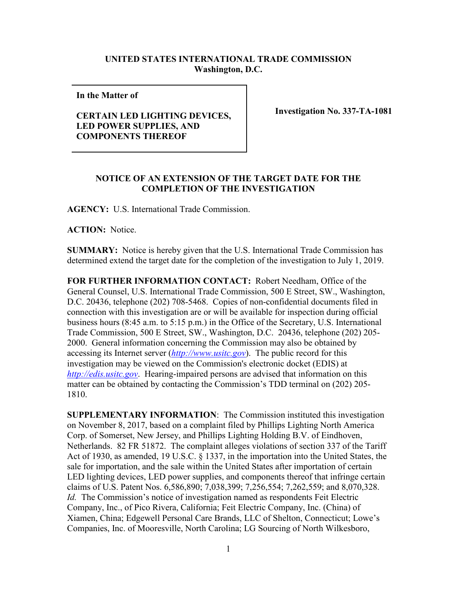## **UNITED STATES INTERNATIONAL TRADE COMMISSION Washington, D.C.**

**In the Matter of** 

## **CERTAIN LED LIGHTING DEVICES, LED POWER SUPPLIES, AND COMPONENTS THEREOF**

**Investigation No. 337-TA-1081**

## **NOTICE OF AN EXTENSION OF THE TARGET DATE FOR THE COMPLETION OF THE INVESTIGATION**

**AGENCY:** U.S. International Trade Commission.

**ACTION:** Notice.

**SUMMARY:** Notice is hereby given that the U.S. International Trade Commission has determined extend the target date for the completion of the investigation to July 1, 2019.

**FOR FURTHER INFORMATION CONTACT:** Robert Needham, Office of the General Counsel, U.S. International Trade Commission, 500 E Street, SW., Washington, D.C. 20436, telephone (202) 708-5468. Copies of non-confidential documents filed in connection with this investigation are or will be available for inspection during official business hours (8:45 a.m. to 5:15 p.m.) in the Office of the Secretary, U.S. International Trade Commission, 500 E Street, SW., Washington, D.C. 20436, telephone (202) 205- 2000. General information concerning the Commission may also be obtained by accessing its Internet server (*[http://www.usitc.gov](http://www.usitc.gov/)*). The public record for this investigation may be viewed on the Commission's electronic docket (EDIS) at *[http://edis.usitc.gov](http://edis.usitc.gov/)*. Hearing-impaired persons are advised that information on this matter can be obtained by contacting the Commission's TDD terminal on (202) 205- 1810.

**SUPPLEMENTARY INFORMATION**: The Commission instituted this investigation on November 8, 2017, based on a complaint filed by Phillips Lighting North America Corp. of Somerset, New Jersey, and Phillips Lighting Holding B.V. of Eindhoven, Netherlands. 82 FR 51872. The complaint alleges violations of section 337 of the Tariff Act of 1930, as amended, 19 U.S.C. § 1337, in the importation into the United States, the sale for importation, and the sale within the United States after importation of certain LED lighting devices, LED power supplies, and components thereof that infringe certain claims of U.S. Patent Nos. 6,586,890; 7,038,399; 7,256,554; 7,262,559; and 8,070,328. *Id.* The Commission's notice of investigation named as respondents Feit Electric Company, Inc., of Pico Rivera, California; Feit Electric Company, Inc. (China) of Xiamen, China; Edgewell Personal Care Brands, LLC of Shelton, Connecticut; Lowe's Companies, Inc. of Mooresville, North Carolina; LG Sourcing of North Wilkesboro,